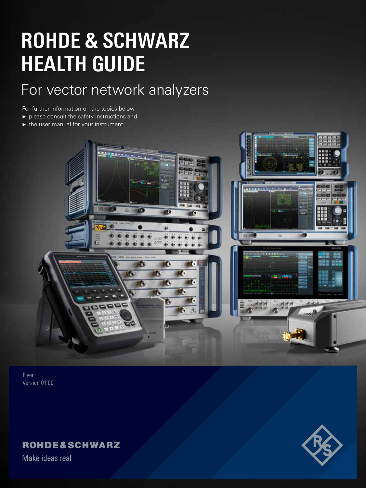# **ROHDE & SCHWARZ HEALTH GUIDE**

# For vector network analyzers

For further information on the topics below

- ► please consult the safety instructions and
- ► the user manual for your instrument



Flyer Version 01.00

## **ROHDE&SCHWARZ**

Make ideas real

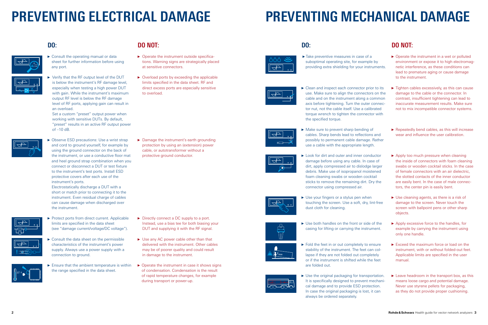# **PREVENTING ELECTRICAL DAMAGE**

## **DO NOT:**

- $\triangleright$  Consult the operating manual or data sheet for further information before using any port.
- 
- ► Verify that the RF output level of the DUT is below the instrument's RF damage level,
	- especially when testing a high power DUT with gain. While the instrument's maximum output RF level is below the RF damage level of RF ports, applying gain can result in an overload.

► Observe ESD precautions: Use a wrist strap and cord to ground yourself, for example by using the ground connector on the back of the instrument, or use a conductive floor mat and heel ground strap combination when you connect or disconnect a DUT or test fixture to the instrument's test ports. Install ESD protective covers after each use of the instrument's ports.

Set a custom "preset" output power when working with sensitive DUTs. By default, "preset" results in an active RF output power of –10 dB.



- ▶ Protect ports from direct current. Applicable limits are specified in the data sheet (see "damage current/voltage/DC voltage").
- $\triangleright$  Consult the data sheet on the permissible characteristics of the instrument's power supply. Always use a power supply with a connection to ground.
- ► Ensure that the ambient temperature is within the range specified in the data sheet.

Electrostatically discharge a DUT with a short or match prior to connecting it to the instrument. Even residual charge of cables can cause damage when discharged over the instrument.

 $\blacktriangleright$  Clean and inspect each connector prior to its use. Make sure to align the connectors on the cable and on the instrument along a common axis before tightening. Turn the outer connector nut, not the cable itself. Use a calibrated torque wrench to tighten the connector with the specified torque.



► Make sure to prevent sharp bending of cables. Sharp bends lead to reflections and possibly to permanent cable damage. Rather use a cable with the appropriate length.



- ► Operate the instrument outside specifications. Warning signs are strategically placed at sensitive connectors.
- ► Overload ports by exceeding the applicable limits specified in the data sheet. RF and direct excess ports are especially sensitive to overload.

► Look for dirt and outer and inner conductor damage before using any cable. In case of dirt, apply compressed air to dislodge larger debris. Make use of isopropanol moistened foam cleaning swabs or wooden cocktail sticks to remove the remaining dirt. Dry the connector using compressed air.



► Use your fingers or a stylus pen when touching the screen. Use a soft, dry, lint-free dust cloth for cleaning.



► Use both handles on the front or side of the casing for lifting or carrying the instrument.

► Damage the instrument's earth grounding protection by using an (extension) power cable, or autotransformer without a protective ground conductor.

> ► Fold the feet in or out completely to ensure stability of the instrument. The feet can collapse if they are not folded out completely or if the instrument is shifted while the feet are folded out.



 $\blacktriangleright$  Use the original packaging for transportation. It is specifically designed to prevent mechanical damage and to provide ESD protection. In case the original packaging is lost, it can always be ordered separately.

- ► Directly connect a DC supply to a port. Instead, use a bias tee for both biasing your DUT and supplying it with the RF signal.
- ► Use any AC power cable other than that delivered with the instrument. Other cables may be of poorer quality and could result in damage to the instrument.
- ► Operate the instrument in case it shows signs of condensation. Condensation is the result of rapid temperature changes, for example during transport or power-up.



## **DO:**



 $\overline{\mathbb{P}}$ <u>ne fo</u>



# **PREVENTING MECHANICAL DAMAGE**

►Take preventive measures in case of a suboptimal operating site, for example by providing extra shielding for your instruments.



- ► Operate the instrument in a wet or polluted environment or expose it to high electromagnetic interference, as these conditions can lead to premature aging or cause damage to the instrument.
- ► Tighten cables excessively, as this can cause damage to the cable or the connector. In contrast, insufficient tightening can lead to inaccurate measurement results. Make sure not to mix incompatible connector systems.
- ► Repeatedly bend cables, as this will increase wear and influence the user calibration.
- ► Apply too much pressure when cleaning the inside of connectors with foam cleaning swabs or wooden cocktail sticks. In the case of female connectors with an air dielectric, the slotted contacts of the inner conductor are easily bent. In the case of male connectors, the center pin is easily bent.
- ► Use cleaning agents, as there is a risk of damage to the screen. Never touch the screen with ballpoint pens or other sharp objects.
- ► Apply excessive force to the handles, for example by carrying the instrument using only one handle.
- ► Exceed the maximum force or load on the instrument, with or without folded-out feet. Applicable limits are specified in the user manual.
- ► Leave headroom in the transport box, as this means loose cargo and potential damage. Never use styrene pellets for packaging, as they do not provide proper cushioning.

## **DO: DO NOT:**

- 
- 

- 
- 

- 
- 



∆T